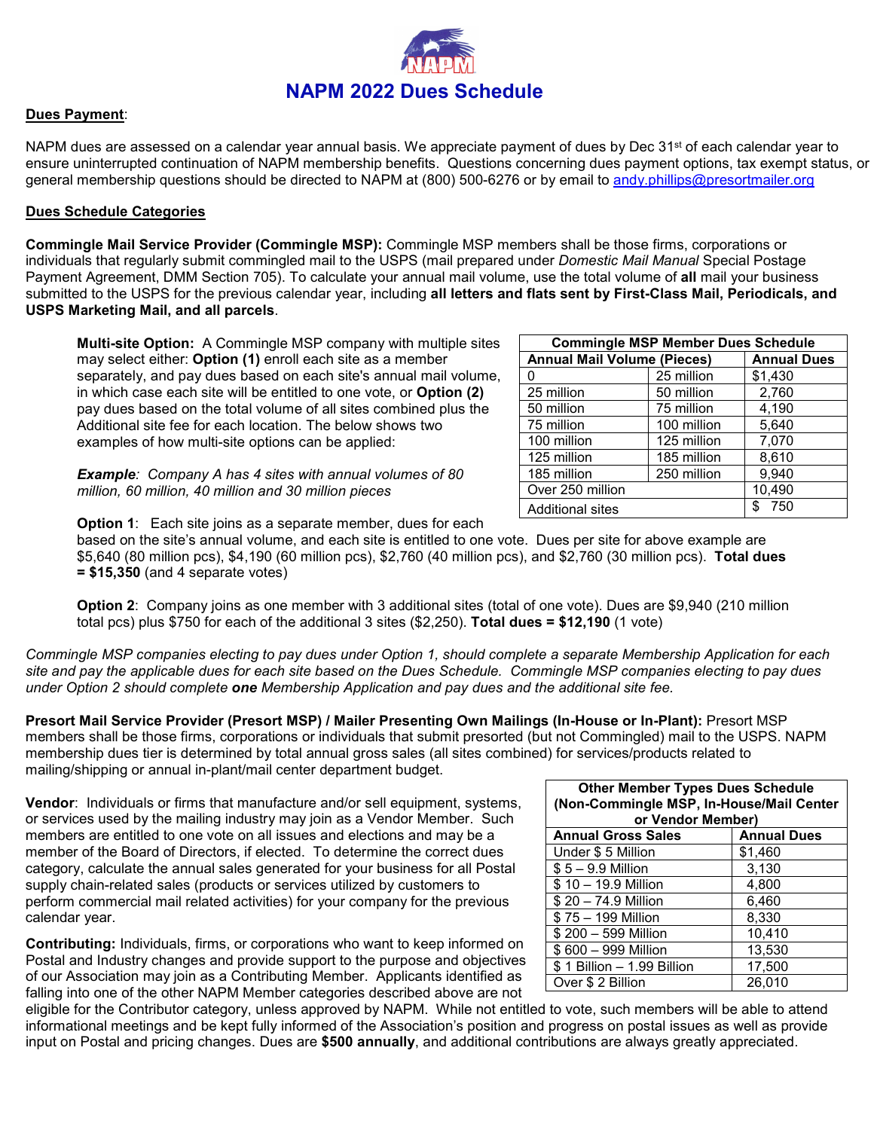

#### **Dues Payment**:

NAPM dues are assessed on a calendar year annual basis. We appreciate payment of dues by Dec  $31<sup>st</sup>$  of each calendar year to ensure uninterrupted continuation of NAPM membership benefits. Questions concerning dues payment options, tax exempt status, or general membership questions should be directed to NAPM at (800) 500-6276 or by email to [andy.phillips@presortmailer.org](mailto:andy.phillips@presortmailer.org)

#### **Dues Schedule Categories**

**Commingle Mail Service Provider (Commingle MSP):** Commingle MSP members shall be those firms, corporations or individuals that regularly submit commingled mail to the USPS (mail prepared under *Domestic Mail Manual* Special Postage Payment Agreement, DMM Section 705). To calculate your annual mail volume, use the total volume of **all** mail your business submitted to the USPS for the previous calendar year, including **all letters and flats sent by First-Class Mail, Periodicals, and USPS Marketing Mail, and all parcels**.

**Multi-site Option:** A Commingle MSP company with multiple sites may select either: **Option (1)** enroll each site as a member separately, and pay dues based on each site's annual mail volume, in which case each site will be entitled to one vote, or **Option (2)** pay dues based on the total volume of all sites combined plus the Additional site fee for each location. The below shows two examples of how multi-site options can be applied:

*Example: Company A has 4 sites with annual volumes of 80 million, 60 million, 40 million and 30 million pieces*

| <b>Commingle MSP Member Dues Schedule</b> |                    |         |  |  |  |  |
|-------------------------------------------|--------------------|---------|--|--|--|--|
| <b>Annual Mail Volume (Pieces)</b>        | <b>Annual Dues</b> |         |  |  |  |  |
| U                                         | 25 million         | \$1,430 |  |  |  |  |
| 25 million                                | 50 million         | 2,760   |  |  |  |  |
| 50 million                                | 75 million         | 4,190   |  |  |  |  |
| 75 million                                | 100 million        | 5,640   |  |  |  |  |
| 100 million                               | 125 million        | 7,070   |  |  |  |  |
| 125 million                               | 185 million        | 8,610   |  |  |  |  |
| 185 million                               | 250 million        | 9,940   |  |  |  |  |
| Over 250 million                          |                    | 10,490  |  |  |  |  |
| <b>Additional sites</b>                   |                    | 750     |  |  |  |  |

**Option 1:** Each site joins as a separate member, dues for each

based on the site's annual volume, and each site is entitled to one vote. Dues per site for above example are \$5,640 (80 million pcs), \$4,190 (60 million pcs), \$2,760 (40 million pcs), and \$2,760 (30 million pcs). **Total dues = \$15,350** (and 4 separate votes)

**Option 2**: Company joins as one member with 3 additional sites (total of one vote). Dues are \$9,940 (210 million total pcs) plus \$750 for each of the additional 3 sites (\$2,250). **Total dues = \$12,190** (1 vote)

*Commingle MSP companies electing to pay dues under Option 1, should complete a separate Membership Application for each site and pay the applicable dues for each site based on the Dues Schedule. Commingle MSP companies electing to pay dues under Option 2 should complete one Membership Application and pay dues and the additional site fee.* 

**Presort Mail Service Provider (Presort MSP) / Mailer Presenting Own Mailings (In-House or In-Plant):** Presort MSP members shall be those firms, corporations or individuals that submit presorted (but not Commingled) mail to the USPS. NAPM membership dues tier is determined by total annual gross sales (all sites combined) for services/products related to mailing/shipping or annual in-plant/mail center department budget.

**Vendor**: Individuals or firms that manufacture and/or sell equipment, systems, or services used by the mailing industry may join as a Vendor Member. Such members are entitled to one vote on all issues and elections and may be a member of the Board of Directors, if elected. To determine the correct dues category, calculate the annual sales generated for your business for all Postal supply chain-related sales (products or services utilized by customers to perform commercial mail related activities) for your company for the previous calendar year.

**Contributing:** Individuals, firms, or corporations who want to keep informed on Postal and Industry changes and provide support to the purpose and objectives of our Association may join as a Contributing Member. Applicants identified as falling into one of the other NAPM Member categories described above are not

**Other Member Types Dues Schedule (Non-Commingle MSP, In-House/Mail Center or Vendor Member) Annual Gross Sales Annual Dues** Under \$5 Million  $$5 - 9.9$  Million  $$3,130$  $$10 - 19.9$  Million  $$4,800$  $\frac{$ 20 - 74.9 \text{ million}}{575 - 199 \text{ million}}$  6,460  $$75 - 199$  Million \$ 200 – 599 Million 10,410 \$ 600 – 999 Million 13,530<br>\$ 1 Billion – 1.99 Billion 17,500  $$ 1$  Billion - 1.99 Billion Over \$ 2 Billion 26,010

eligible for the Contributor category, unless approved by NAPM. While not entitled to vote, such members will be able to attend informational meetings and be kept fully informed of the Association's position and progress on postal issues as well as provide input on Postal and pricing changes. Dues are **\$500 annually**, and additional contributions are always greatly appreciated.